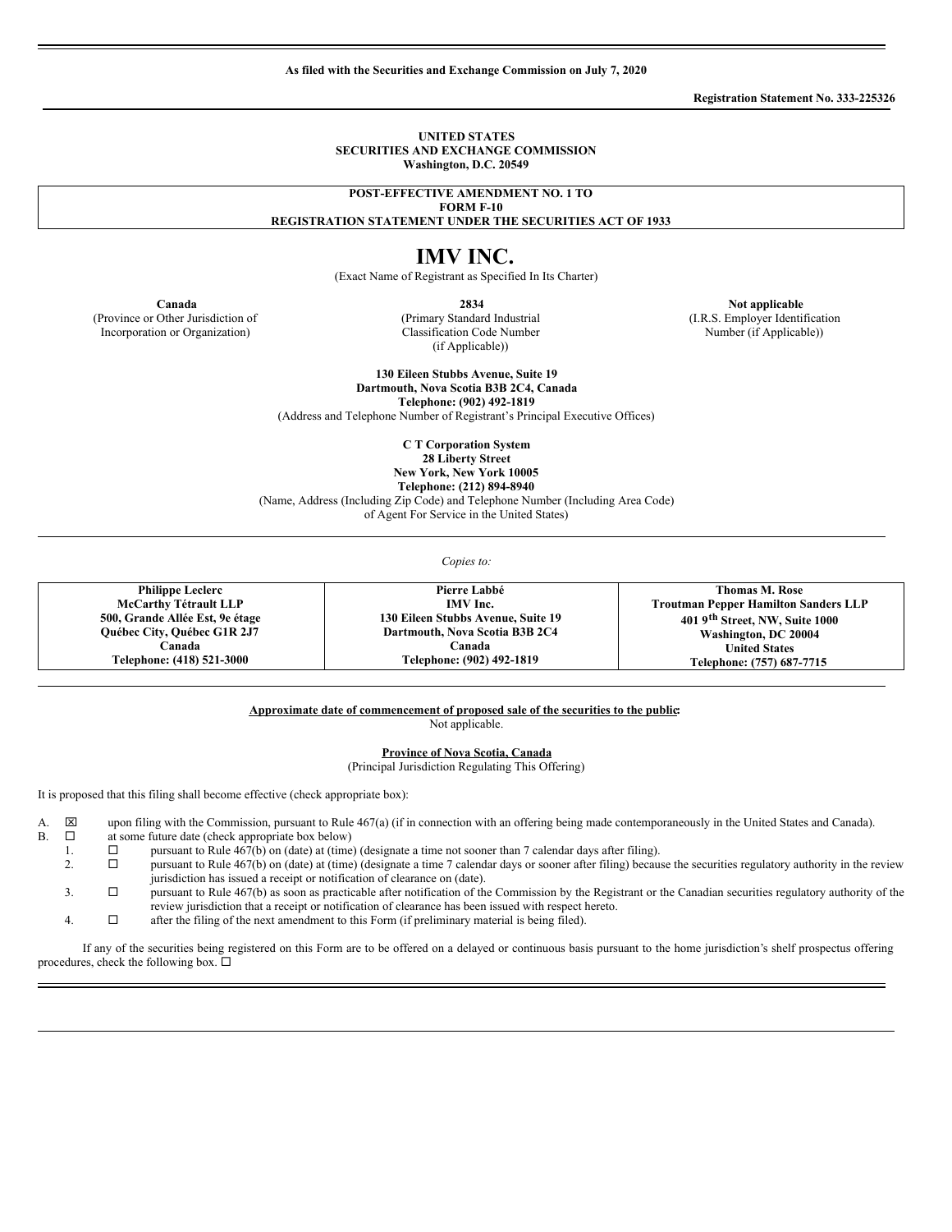**As filed with the Securities and Exchange Commission on July 7, 2020**

**Registration Statement No. 333-225326**

#### **UNITED STATES SECURITIES AND EXCHANGE COMMISSION Washington, D.C. 20549**

**POST-EFFECTIVE AMENDMENT NO. 1 TO**

**FORM F-10 REGISTRATION STATEMENT UNDER THE SECURITIES ACT OF 1933**

# **IMV INC.**

(Exact Name of Registrant as Specified In Its Charter)

(Province or Other Jurisdiction of Incorporation or Organization)

(Primary Standard Industrial Classification Code Number (if Applicable))

**Canada 2834 Not applicable 2834 Not applicable** (I.R.S. Employer Identification Number (if Applicable))

> **130 Eileen Stubbs Avenue, Suite 19 Dartmouth, Nova Scotia B3B 2C4, Canada Telephone: (902) 492-1819**

(Address and Telephone Number of Registrant's Principal Executive Offices)

**C T Corporation System**

**28 Liberty Street**

**New York, New York 10005**

**Telephone: (212) 894-8940** (Name, Address (Including Zip Code) and Telephone Number (Including Area Code)

of Agent For Service in the United States)

*Copies to:*

**Philippe Leclerc McCarthy Tétrault LLP 500, Grande Allée Est, 9e étage Québec City, Québec G1R 2J7 Canada Telephone: (418) 521-3000 Pierre Labbé IMV Inc. 130 Eileen Stubbs Avenue, Suite 19 Dartmouth, Nova Scotia B3B 2C4 Canada Telephone: (902) 492-1819 Thomas M. Rose Troutman Pepper Hamilton Sanders LLP 401 9 th Street, NW, Suite 1000 Washington, DC 20004 United States Telephone: (757) 687-7715**

**Approximate date of commencement of proposed sale of the securities to the public:**

Not applicable.

**Province of Nova Scotia, Canada**

(Principal Jurisdiction Regulating This Offering)

It is proposed that this filing shall become effective (check appropriate box):

A.  $\boxtimes$  upon filing with the Commission, pursuant to Rule 467(a) (if in connection with an offering being made contemporaneously in the United States and Canada).<br>B.  $\Box$  at some future date (check appropriate hox below)

- B.  $\Box$  at some future date (check appropriate box below)
	- 1.  $\square$  pursuant to Rule 467(b) on (date) at (time) (designate a time not sooner than 7 calendar days after filing).<br>2.  $\square$  pursuant to Rule 467(b) on (date) at (time) (designate a time 7 calendar days or sooner after fi
	- 2.  $\square$  pursuant to Rule 467(b) on (date) at (time) (designate a time 7 calendar days or sooner after filing) because the securities regulatory authority in the review jurisdiction has issued a receipt or notification of clearance on (date).
	- $3.$   $\square$  pursuant to Rule 467(b) as soon as practicable after notification of the Commission by the Registrant or the Canadian securities regulatory authority of the review jurisdiction that a receipt or notification of clearance has been issued with respect hereto.
	- 4.  $\Box$  after the filing of the next amendment to this Form (if preliminary material is being filed).

If any of the securities being registered on this Form are to be offered on a delayed or continuous basis pursuant to the home jurisdiction's shelf prospectus offering procedures, check the following box.  $\Box$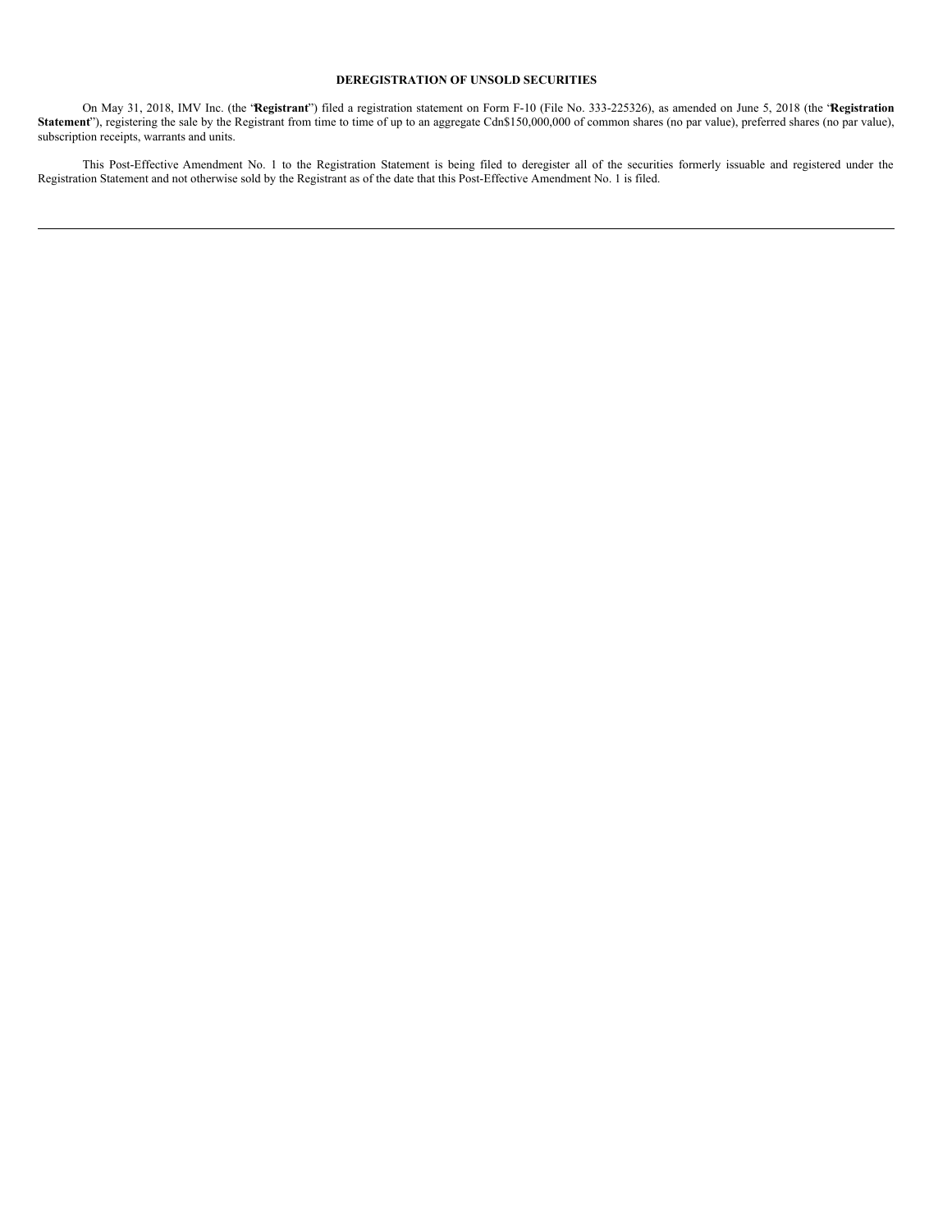#### **DEREGISTRATION OF UNSOLD SECURITIES**

On May 31, 2018, IMV Inc. (the "**Registrant**") filed a registration statement on Form F-10 (File No. 333-225326), as amended on June 5, 2018 (the "**Registration** Statement"), registering the sale by the Registrant from time to time of up to an aggregate Cdn\$150,000,000 of common shares (no par value), preferred shares (no par value), subscription receipts, warrants and units.

This Post-Effective Amendment No. 1 to the Registration Statement is being filed to deregister all of the securities formerly issuable and registered under the Registration Statement and not otherwise sold by the Registrant as of the date that this Post-Effective Amendment No. 1 is filed.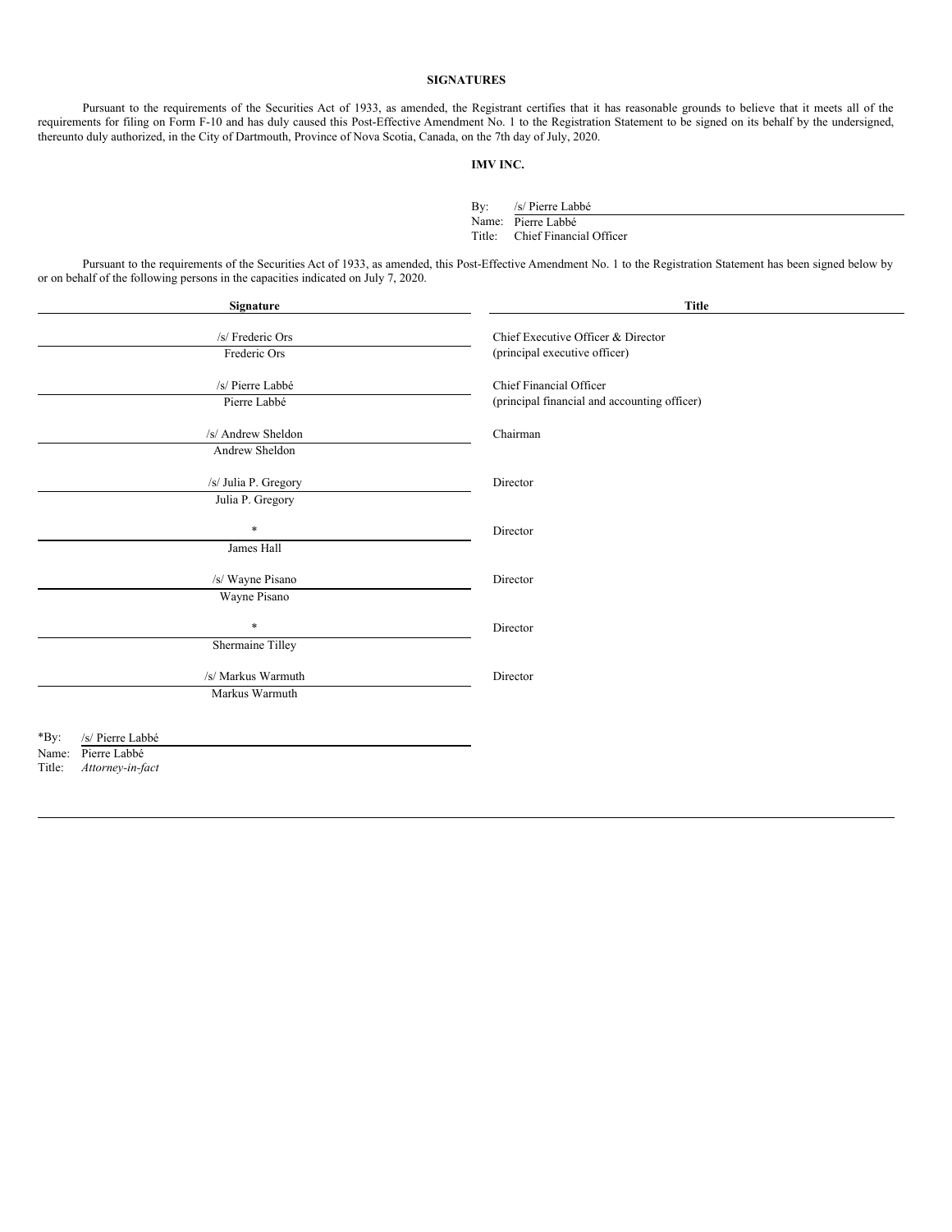## **SIGNATURES**

Pursuant to the requirements of the Securities Act of 1933, as amended, the Registrant certifies that it has reasonable grounds to believe that it meets all of the requirements for filing on Form F-10 and has duly caused this Post-Effective Amendment No. 1 to the Registration Statement to be signed on its behalf by the undersigned, thereunto duly authorized, in the City of Dartmouth, Province of Nova Scotia, Canada, on the 7th day of July, 2020.

#### **IMV INC.**

By: /s/ Pierre Labbé Name: Pierre Labbé Title: Chief Financial Officer

Pursuant to the requirements of the Securities Act of 1933, as amended, this Post-Effective Amendment No. 1 to the Registration Statement has been signed below by or on behalf of the following persons in the capacities indicated on July 7, 2020.

| Signature                  | <b>Title</b>                                 |
|----------------------------|----------------------------------------------|
| /s/ Frederic Ors           | Chief Executive Officer & Director           |
| Frederic Ors               | (principal executive officer)                |
|                            |                                              |
| /s/ Pierre Labbé           | Chief Financial Officer                      |
| Pierre Labbé               | (principal financial and accounting officer) |
| /s/ Andrew Sheldon         | Chairman                                     |
| Andrew Sheldon             |                                              |
| /s/ Julia P. Gregory       | Director                                     |
| Julia P. Gregory           |                                              |
| $\ast$                     | Director                                     |
| James Hall                 |                                              |
| /s/ Wayne Pisano           | Director                                     |
| Wayne Pisano               |                                              |
| $\ast$                     | Director                                     |
| Shermaine Tilley           |                                              |
| /s/ Markus Warmuth         | Director                                     |
| Markus Warmuth             |                                              |
|                            |                                              |
| *By:<br>/s/ Pierre Labbé   |                                              |
| Pierre Labbé<br>Name:      |                                              |
| Attorney-in-fact<br>Title: |                                              |
|                            |                                              |